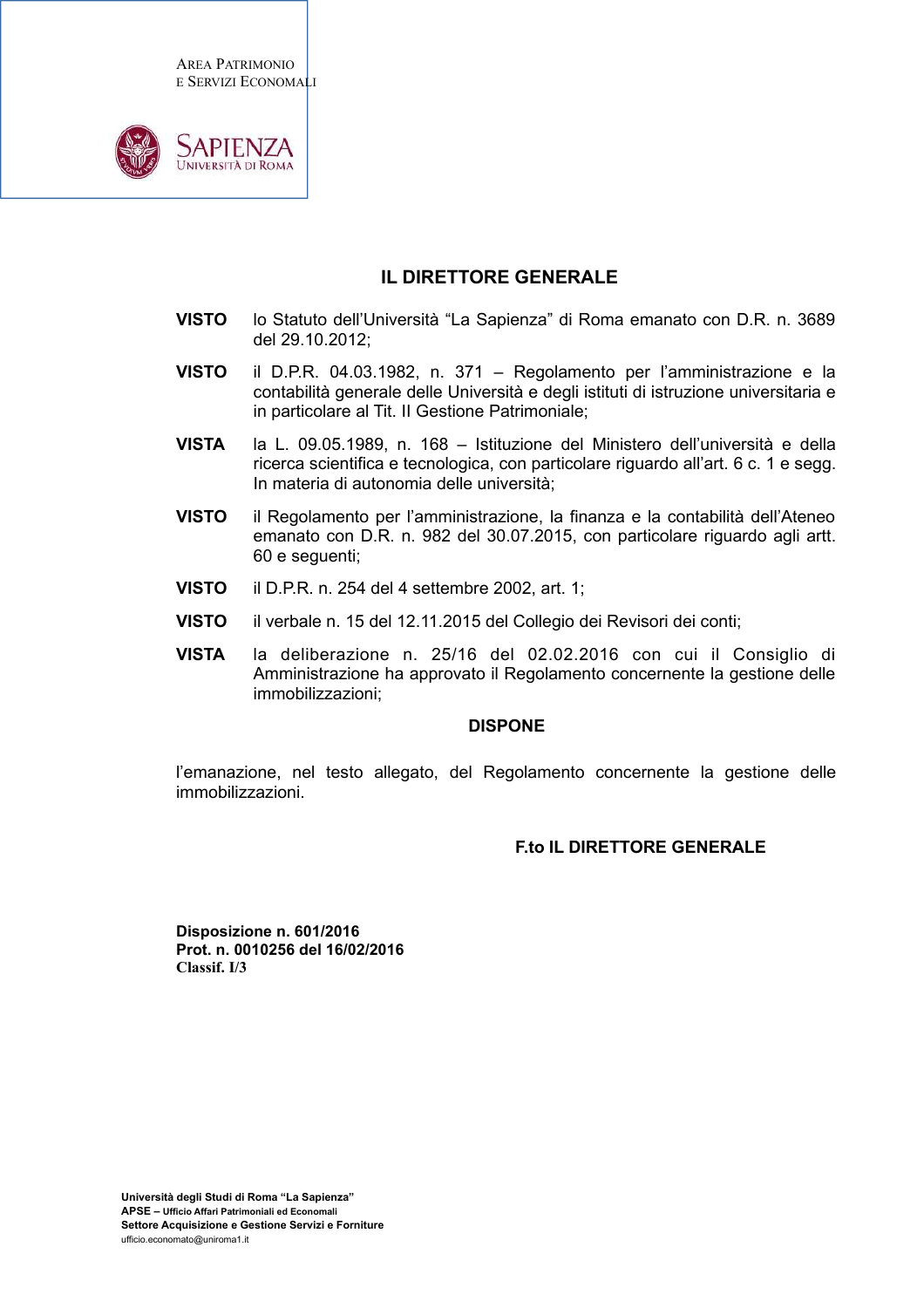**AREA PATRIMONIO** E SERVIZI ECONOMALI



#### IL DIRETTORE GENERALE

- **VISTO** lo Statuto dell'Università "La Sapienza" di Roma emanato con D.R. n. 3689 del 29.10.2012:
- **VISTO** il D.P.R. 04.03.1982, n. 371 - Regolamento per l'amministrazione e la contabilità generale delle Università e degli istituti di istruzione universitaria e in particolare al Tit. Il Gestione Patrimoniale;
- la L. 09.05.1989, n. 168 Istituzione del Ministero dell'università e della **VISTA** ricerca scientifica e tecnologica, con particolare riguardo all'art. 6 c. 1 e segg. In materia di autonomia delle università:
- **VISTO** il Regolamento per l'amministrazione, la finanza e la contabilità dell'Ateneo emanato con D.R. n. 982 del 30.07.2015, con particolare riguardo agli artt. 60 e sequenti:
- **VISTO** il D.P.R. n. 254 del 4 settembre 2002, art. 1;
- **VISTO** il verbale n. 15 del 12.11.2015 del Collegio dei Revisori dei conti;
- **VISTA** la deliberazione n. 25/16 del 02.02.2016 con cui il Consiglio di Amministrazione ha approvato il Regolamento concernente la gestione delle immobilizzazioni;

#### **DISPONE**

l'emanazione, nel testo allegato, del Regolamento concernente la gestione delle immobilizzazioni.

#### **Eto II DIRETTORE GENERALE**

Disposizione n. 601/2016 Prot. n. 0010256 del 16/02/2016 Classif. I/3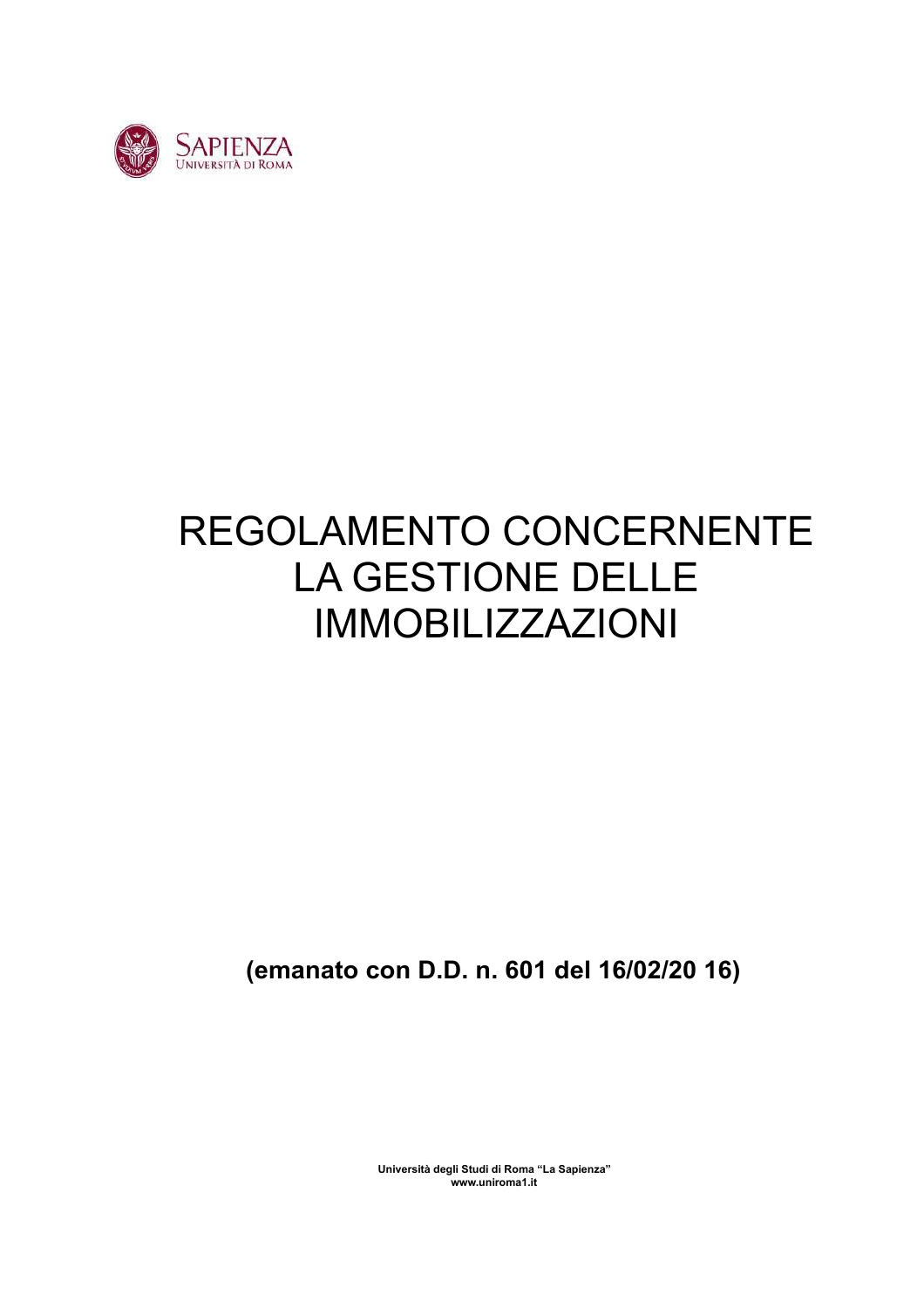

# REGOLAMENTO CONCERNENTE LA GESTIONE DELLE **IMMOBILIZZAZIONI**

(emanato con D.D. n. 601 del 16/02/20 16)

Università degli Studi di Roma "La Sapienza" www.uniroma1.it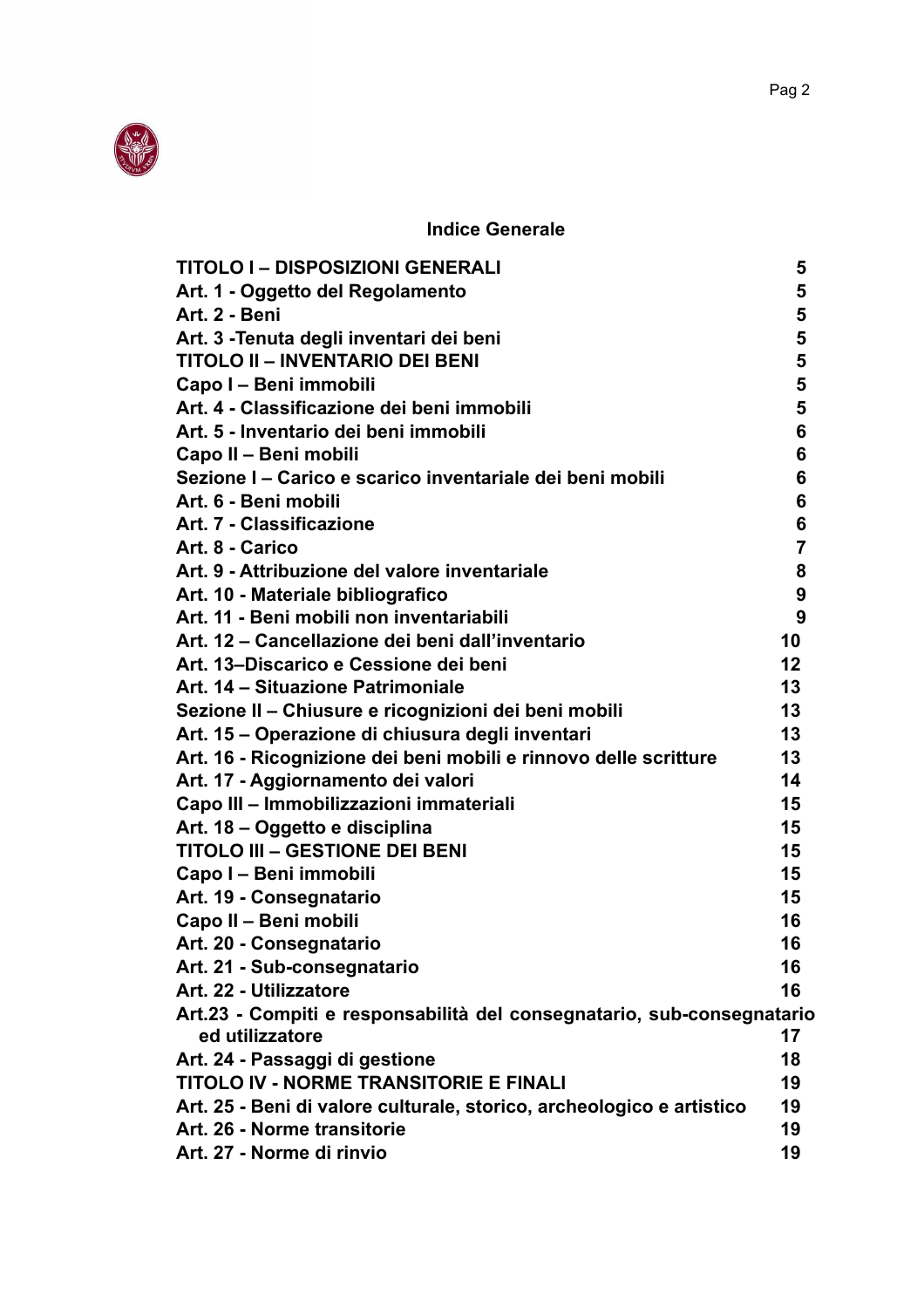

**Indice Generale** 

| <b>TITOLO I - DISPOSIZIONI GENERALI</b>                                | 5              |
|------------------------------------------------------------------------|----------------|
| Art. 1 - Oggetto del Regolamento                                       | 5              |
| Art. 2 - Beni                                                          | 5              |
| Art. 3 - Tenuta degli inventari dei beni                               | 5              |
| <b>TITOLO II - INVENTARIO DEI BENI</b>                                 | 5              |
| Capo I - Beni immobili                                                 | 5              |
| Art. 4 - Classificazione dei beni immobili                             | 5              |
| Art. 5 - Inventario dei beni immobili                                  | 6              |
| Capo II - Beni mobili                                                  | 6              |
| Sezione I - Carico e scarico inventariale dei beni mobili              | 6              |
| Art. 6 - Beni mobili                                                   | 6              |
| Art. 7 - Classificazione                                               | 6              |
| Art. 8 - Carico                                                        | $\overline{7}$ |
| Art. 9 - Attribuzione del valore inventariale                          | 8              |
| Art. 10 - Materiale bibliografico                                      | 9              |
| Art. 11 - Beni mobili non inventariabili                               | 9              |
| Art. 12 – Cancellazione dei beni dall'inventario                       | 10             |
| Art. 13-Discarico e Cessione dei beni                                  | 12             |
| Art. 14 – Situazione Patrimoniale                                      | 13             |
| Sezione II - Chiusure e ricognizioni dei beni mobili                   | 13             |
| Art. 15 - Operazione di chiusura degli inventari                       | 13             |
| Art. 16 - Ricognizione dei beni mobili e rinnovo delle scritture       | 13             |
| Art. 17 - Aggiornamento dei valori                                     | 14             |
| Capo III - Immobilizzazioni immateriali                                | 15             |
| Art. 18 – Oggetto e disciplina                                         | 15             |
| <b>TITOLO III - GESTIONE DEI BENI</b>                                  | 15             |
| Capo I - Beni immobili                                                 | 15             |
| Art. 19 - Consegnatario                                                | 15             |
| Capo II - Beni mobili                                                  | 16             |
| Art. 20 - Consegnatario                                                | 16             |
| Art. 21 - Sub-consegnatario                                            | 16             |
| Art. 22 - Utilizzatore                                                 | 16             |
| Art.23 - Compiti e responsabilità del consegnatario, sub-consegnatario |                |
| ed utilizzatore                                                        | 17             |
| Art. 24 - Passaggi di gestione                                         | 18             |
| <b>TITOLO IV - NORME TRANSITORIE E FINALI</b>                          | 19             |
| Art. 25 - Beni di valore culturale, storico, archeologico e artistico  | 19             |
| Art. 26 - Norme transitorie                                            | 19             |
| Art. 27 - Norme di rinvio                                              | 19             |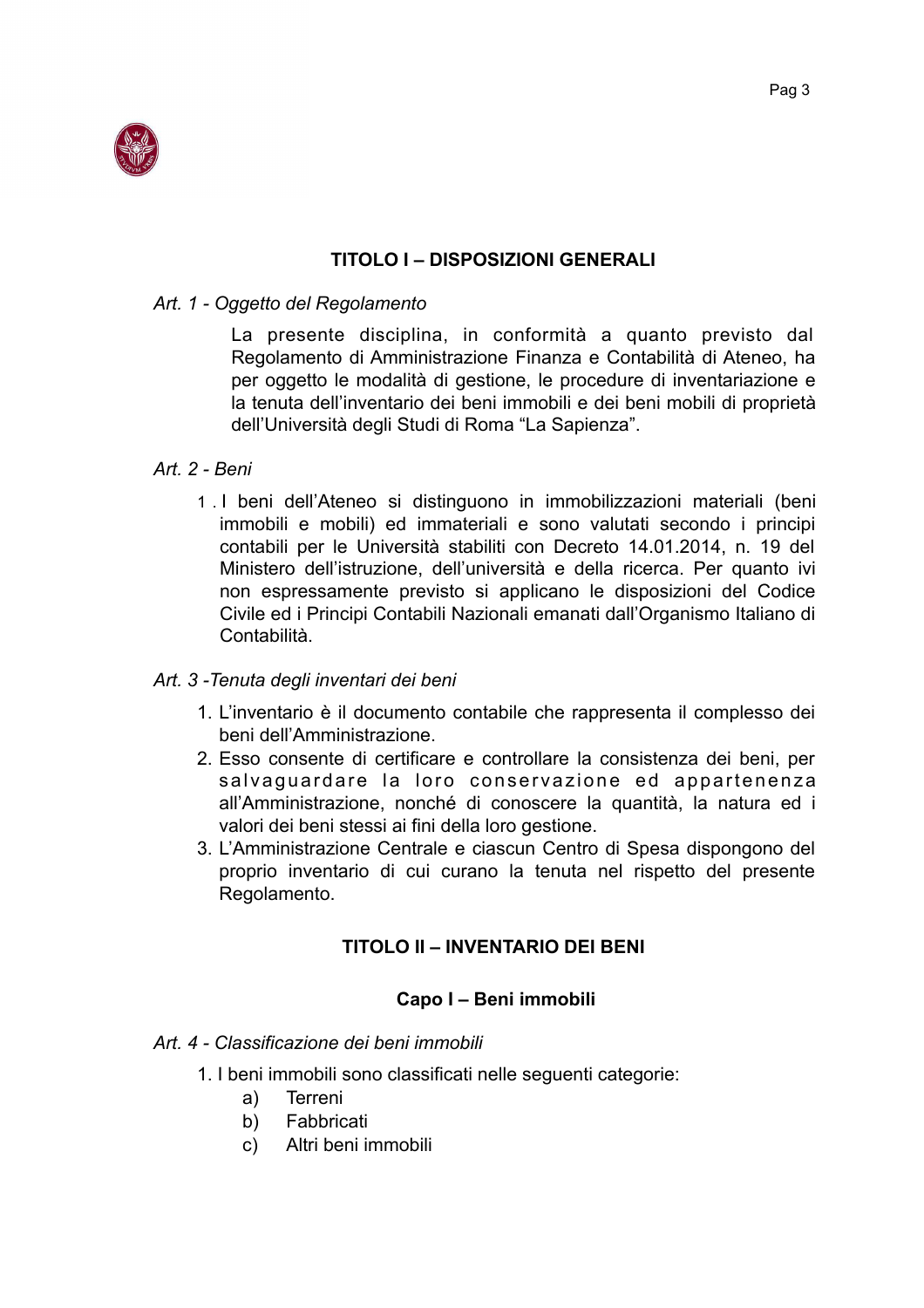

## **TITOLO I - DISPOSIZIONI GENERALI**

#### Art. 1 - Oggetto del Regolamento

La presente disciplina, in conformità a quanto previsto dal Regolamento di Amministrazione Finanza e Contabilità di Ateneo, ha per oggetto le modalità di gestione, le procedure di inventariazione e la tenuta dell'inventario dei beni immobili e dei beni mobili di proprietà dell'Università degli Studi di Roma "La Sapienza".

## Art. 2 - Beni

1. I beni dell'Ateneo si distinguono in immobilizzazioni materiali (beni immobili e mobili) ed immateriali e sono valutati secondo i principi contabili per le Università stabiliti con Decreto 14.01.2014, n. 19 del Ministero dell'istruzione, dell'università e della ricerca. Per quanto ivi non espressamente previsto si applicano le disposizioni del Codice Civile ed i Principi Contabili Nazionali emanati dall'Organismo Italiano di Contabilità.

#### Art. 3 - Tenuta degli inventari dei beni

- 1. L'inventario è il documento contabile che rappresenta il complesso dei beni dell'Amministrazione.
- 2. Esso consente di certificare e controllare la consistenza dei beni, per salvaguardare la loro conservazione ed appartenenza all'Amministrazione, nonché di conoscere la quantità, la natura ed i valori dei beni stessi ai fini della loro gestione.
- 3. L'Amministrazione Centrale e ciascun Centro di Spesa dispongono del proprio inventario di cui curano la tenuta nel rispetto del presente Regolamento.

## **TITOLO II - INVENTARIO DEI BENI**

## Capo I - Beni immobili

#### Art 4 - Classificazione dei beni immobili

- 1. I beni immobili sono classificati nelle seguenti categorie:
	- Terreni  $a)$
	- **Fabbricati**  $b)$
	- Altri beni immobili  $\mathsf{C}$ )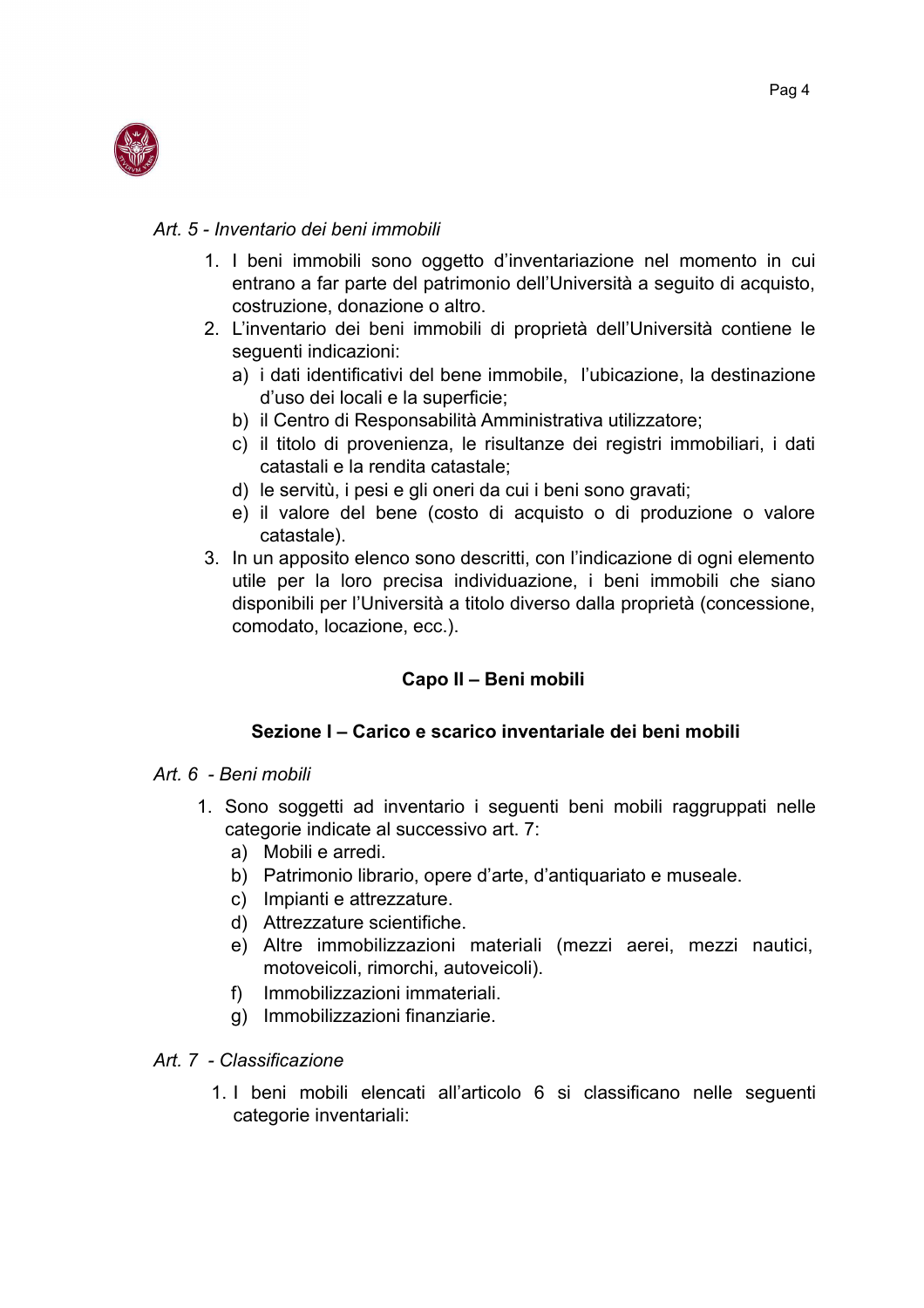

#### Art. 5 - Inventario dei beni immobili

- 1. I beni immobili sono oggetto d'inventariazione nel momento in cui entrano a far parte del patrimonio dell'Università a seguito di acquisto. costruzione, donazione o altro.
- 2. L'inventario dei beni immobili di proprietà dell'Università contiene le seguenti indicazioni:
	- a) i dati identificativi del bene immobile, l'ubicazione, la destinazione d'uso dei locali e la superficie;
	- b) il Centro di Responsabilità Amministrativa utilizzatore;
	- c) il titolo di provenienza, le risultanze dei registri immobiliari, i dati catastali e la rendita catastale;
	- d) le servitù, i pesi e gli oneri da cui i beni sono gravati;
	- e) il valore del bene (costo di acquisto o di produzione o valore catastale).
- 3. In un apposito elenco sono descritti, con l'indicazione di ogni elemento utile per la loro precisa individuazione, i beni immobili che siano disponibili per l'Università a titolo diverso dalla proprietà (concessione, comodato, locazione, ecc.).

# Capo II - Beni mobili

## Sezione I - Carico e scarico inventariale dei beni mobili

## Art. 6 - Beni mobili

- 1. Sono soggetti ad inventario i seguenti beni mobili raggruppati nelle categorie indicate al successivo art. 7:
	- a) Mobili e arredi.
	- b) Patrimonio librario, opere d'arte, d'antiguariato e museale.
	- c) Impianti e attrezzature.
	- d) Attrezzature scientifiche.
	- e) Altre immobilizzazioni materiali (mezzi aerei, mezzi nautici, motoveicoli, rimorchi, autoveicoli).
	- f) Immobilizzazioni immateriali.
	- g) Immobilizzazioni finanziarie.

## Art. 7 - Classificazione

1. I beni mobili elencati all'articolo 6 si classificano nelle seguenti categorie inventariali: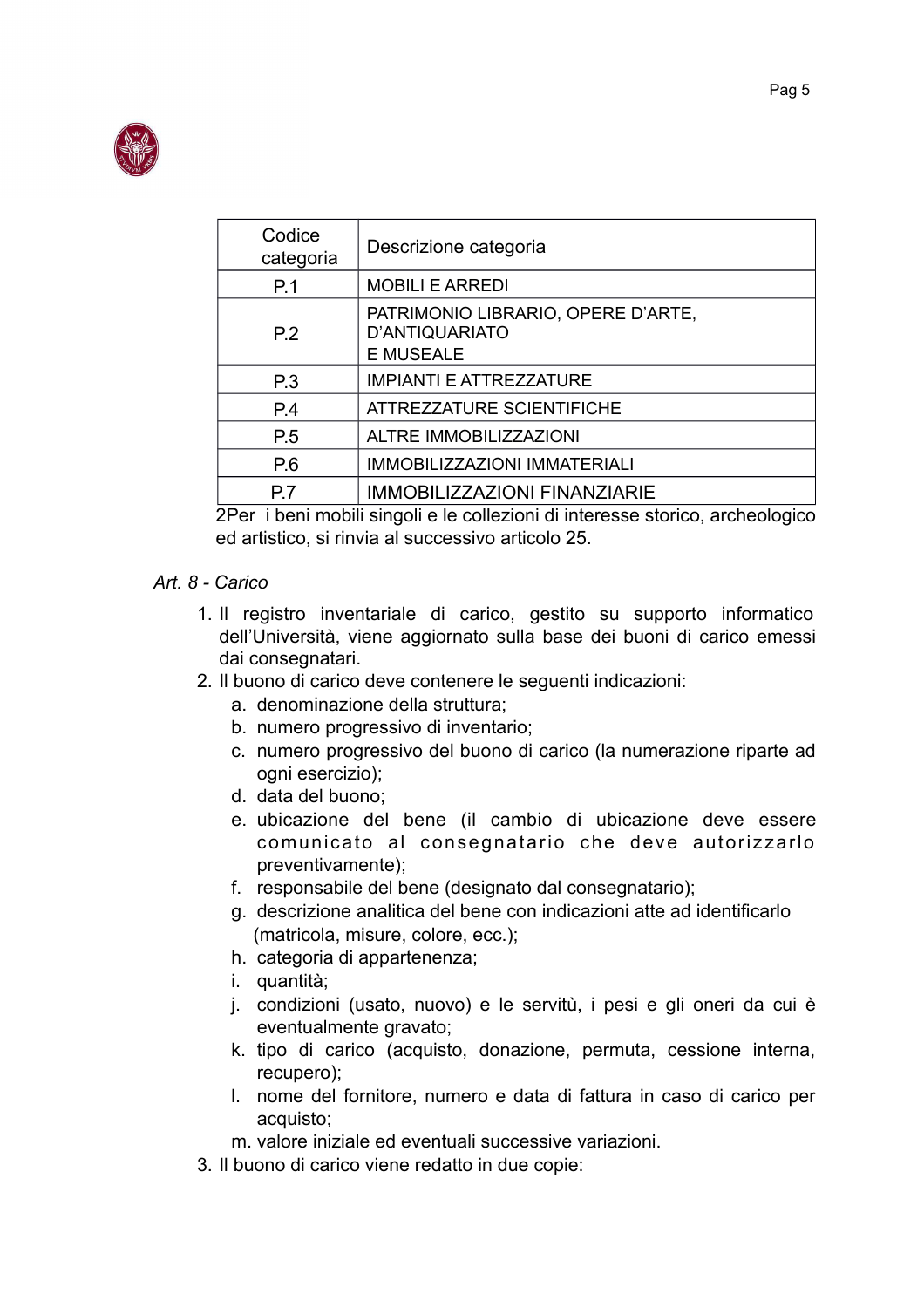

| Codice<br>categoria                                                                                                                    | Descrizione categoria                                                    |  |
|----------------------------------------------------------------------------------------------------------------------------------------|--------------------------------------------------------------------------|--|
| P.1                                                                                                                                    | <b>MOBILI E ARREDI</b>                                                   |  |
| P.2                                                                                                                                    | PATRIMONIO LIBRARIO, OPERE D'ARTE,<br>D'ANTIQUARIATO<br><b>E MUSEALE</b> |  |
| P.3                                                                                                                                    | <b>IMPIANTI E ATTREZZATURE</b>                                           |  |
| P.4                                                                                                                                    | ATTREZZATURE SCIENTIFICHE                                                |  |
| P.5                                                                                                                                    | ALTRE IMMOBILIZZAZIONI                                                   |  |
| P.6                                                                                                                                    | <b>IMMOBILIZZAZIONI IMMATERIALI</b>                                      |  |
| P7                                                                                                                                     | <b>IMMOBILIZZAZIONI FINANZIARIE</b>                                      |  |
| A TERRITORIA DE MARCELLA E EN 1989, EN 1989, EN 1989, EN 1989, EN 1989, EN 1989, EN 1989, EN 1989, EN 1989, EN<br>$\sim$ $\sim$ $\sim$ |                                                                          |  |

2Per i beni mobili singoli e le collezioni di interesse storico, archeologico ed artistico, si rinvia al successivo articolo 25.

#### Art  $8 - \text{Carico}$

- 1. Il registro inventariale di carico, gestito su supporto informatico dell'Università, viene aggiornato sulla base dei buoni di carico emessi dai consegnatari.
- 2. Il buono di carico deve contenere le seguenti indicazioni:
	- a. denominazione della struttura;
	- b. numero progressivo di inventario;
	- c. numero progressivo del buono di carico (la numerazione riparte ad ogni esercizio);
	- d. data del buono:
	- e. ubicazione del bene (il cambio di ubicazione deve essere comunicato al consegnatario che deve autorizzarlo preventivamente);
	- f. responsabile del bene (designato dal consegnatario);
	- g. descrizione analitica del bene con indicazioni atte ad identificarlo (matricola, misure, colore, ecc.);
	- h. categoria di appartenenza;
	- i. quantità;
	- j. condizioni (usato, nuovo) e le servitù, i pesi e gli oneri da cui è eventualmente gravato;
	- k. tipo di carico (acquisto, donazione, permuta, cessione interna. recupero);
	- I. nome del fornitore, numero e data di fattura in caso di carico per acquisto:
	- m. valore iniziale ed eventuali successive variazioni.
- 3. Il buono di carico viene redatto in due copie: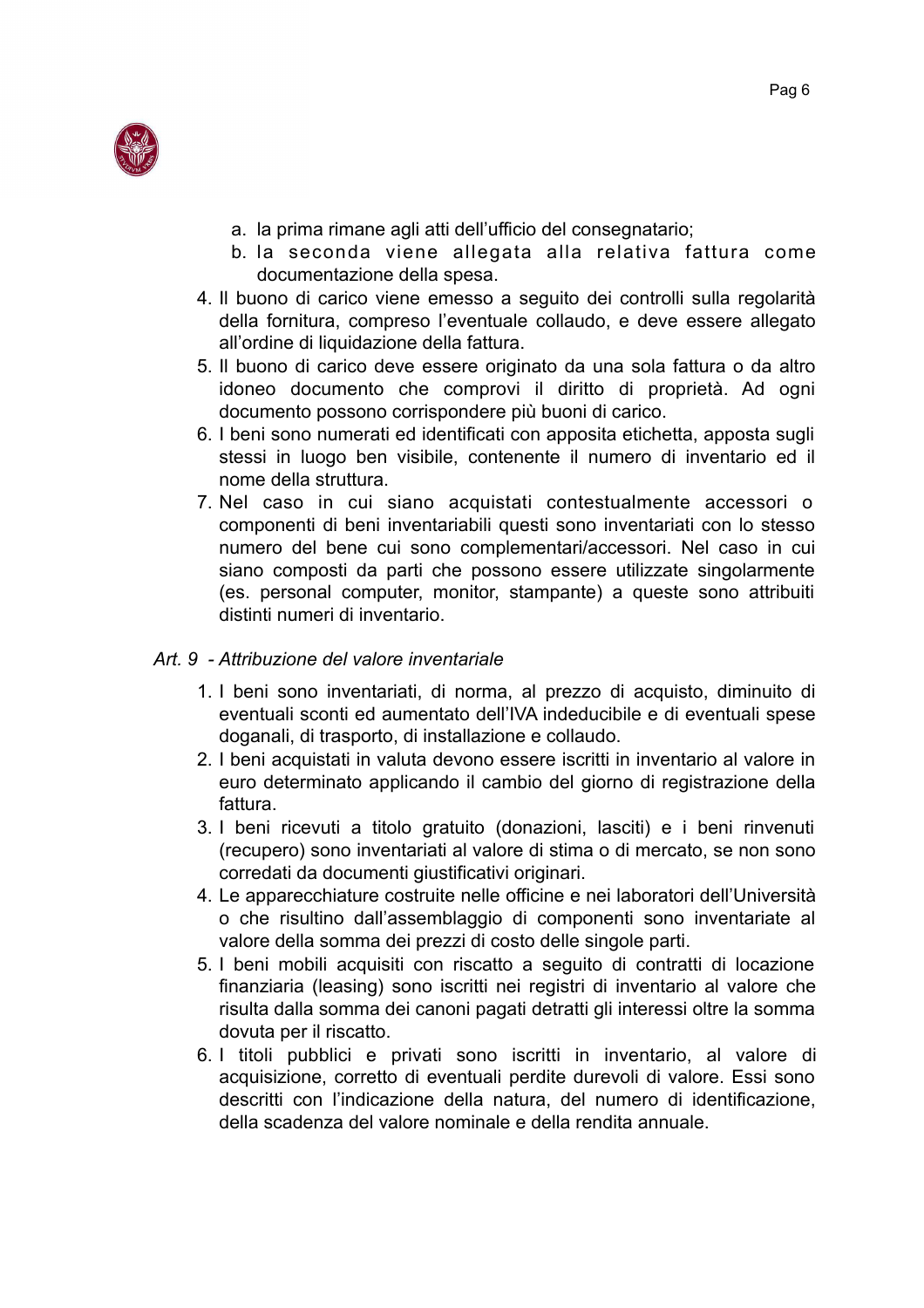

- a. la prima rimane agli atti dell'ufficio del consegnatario;
- b. la seconda viene allegata alla relativa fattura come documentazione della spesa.
- 4. Il buono di carico viene emesso a seguito dei controlli sulla regolarità della fornitura, compreso l'eventuale collaudo, e deve essere allegato all'ordine di liquidazione della fattura.
- 5. Il buono di carico deve essere originato da una sola fattura o da altro idoneo documento che comprovi il diritto di proprietà. Ad ogni documento possono corrispondere più buoni di carico.
- 6. I beni sono numerati ed identificati con apposita etichetta, apposta sugli stessi in luogo ben visibile, contenente il numero di inventario ed il nome della struttura.
- 7. Nel caso in cui siano acquistati contestualmente accessori o componenti di beni inventariabili questi sono inventariati con lo stesso numero del bene cui sono complementari/accessori. Nel caso in cui siano composti da parti che possono essere utilizzate singolarmente (es. personal computer, monitor, stampante) a queste sono attribuiti distinti numeri di inventario.

#### Art. 9 - Attribuzione del valore inventariale

- 1. I beni sono inventariati, di norma, al prezzo di acquisto, diminuito di eventuali sconti ed aumentato dell'IVA indeducibile e di eventuali spese doganali, di trasporto, di installazione e collaudo.
- 2. I beni acquistati in valuta devono essere iscritti in inventario al valore in euro determinato applicando il cambio del giorno di registrazione della fattura.
- 3. I beni ricevuti a titolo gratuito (donazioni, lasciti) e i beni rinvenuti (recupero) sono inventariati al valore di stima o di mercato, se non sono corredati da documenti giustificativi originari.
- 4. Le apparecchiature costruite nelle officine e nei laboratori dell'Università o che risultino dall'assemblaggio di componenti sono inventariate al valore della somma dei prezzi di costo delle singole parti.
- 5. I beni mobili acquisiti con riscatto a sequito di contratti di locazione finanziaria (leasing) sono iscritti nei registri di inventario al valore che risulta dalla somma dei canoni pagati detratti gli interessi oltre la somma dovuta per il riscatto.
- 6. I titoli pubblici e privati sono iscritti in inventario, al valore di acquisizione, corretto di eventuali perdite durevoli di valore. Essi sono descritti con l'indicazione della natura, del numero di identificazione. della scadenza del valore nominale e della rendita annuale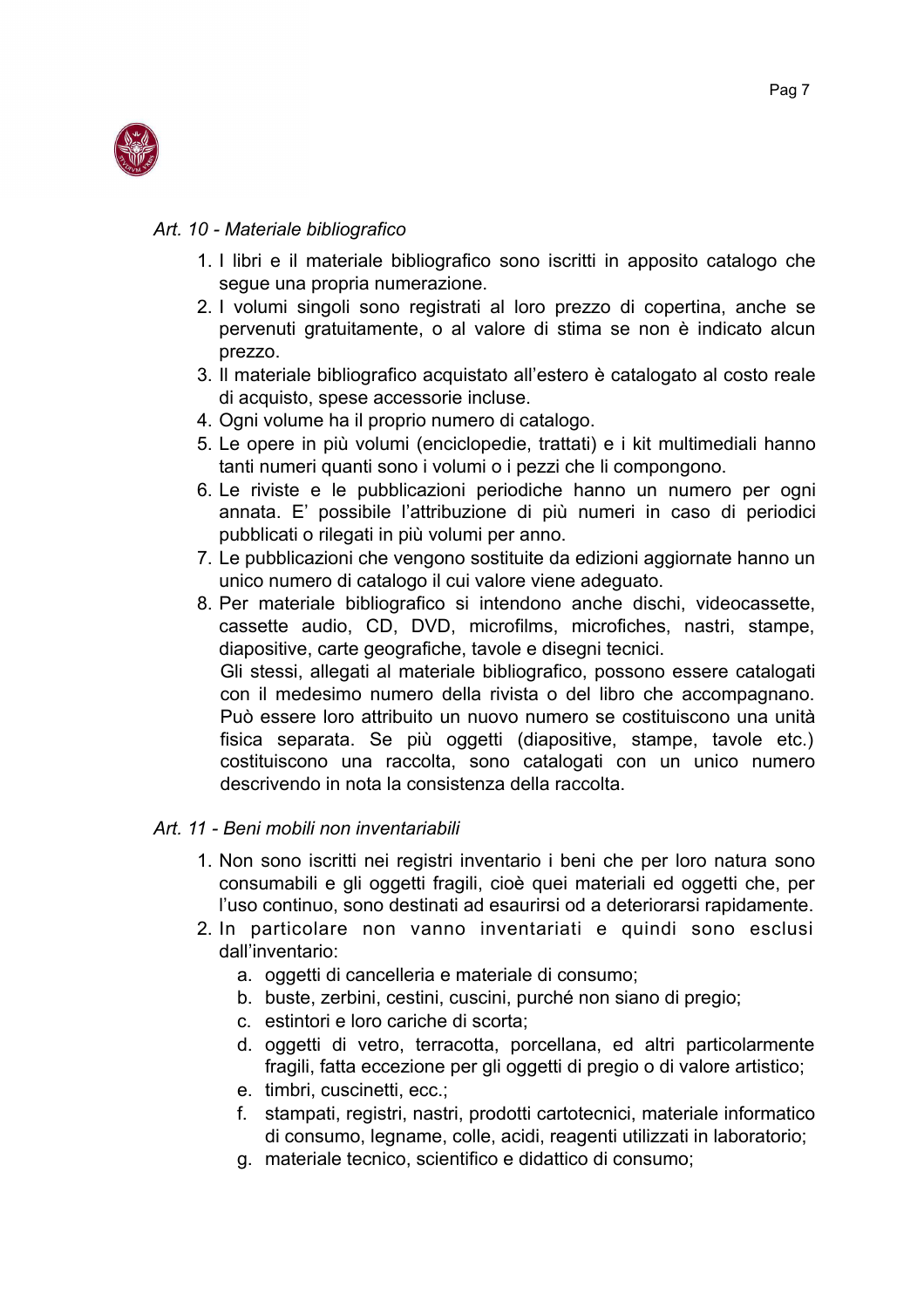

#### Art. 10 - Materiale bibliografico

- 1. I libri e il materiale bibliografico sono iscritti in apposito catalogo che seque una propria numerazione.
- 2. I volumi singoli sono registrati al loro prezzo di copertina, anche se pervenuti gratuitamente, o al valore di stima se non è indicato alcun prezzo.
- 3. Il materiale bibliografico acquistato all'estero è catalogato al costo reale di acquisto, spese accessorie incluse.
- 4. Ogni volume ha il proprio numero di catalogo.
- 5. Le opere in più volumi (enciclopedie, trattati) e i kit multimediali hanno tanti numeri quanti sono i volumi o i pezzi che li compongono.
- 6. Le riviste e le pubblicazioni periodiche hanno un numero per ogni annata. E' possibile l'attribuzione di più numeri in caso di periodici pubblicati o rilegati in più volumi per anno.
- 7. Le pubblicazioni che vengono sostituite da edizioni aggiornate hanno un unico numero di catalogo il cui valore viene adeguato.
- 8. Per materiale bibliografico si intendono anche dischi, videocassette, cassette audio, CD, DVD, microfilms, microfiches, nastri, stampe, diapositive, carte geografiche, tavole e disegni tecnici. Gli stessi, allegati al materiale bibliografico, possono essere catalogati con il medesimo numero della rivista o del libro che accompagnano. Può essere loro attribuito un nuovo numero se costituiscono una unità fisica separata. Se più oggetti (diapositive, stampe, tavole etc.)

costituiscono una raccolta, sono catalogati con un unico numero descrivendo in nota la consistenza della raccolta.

#### Art 11 - Beni mobili non inventariabili

- 1. Non sono iscritti nei registri inventario i beni che per loro natura sono consumabili e gli oggetti fragili, cioè quei materiali ed oggetti che, per l'uso continuo, sono destinati ad esaurirsi od a deteriorarsi rapidamente.
- 2. In particolare non vanno inventariati e quindi sono esclusi dall'inventario:
	- a. oggetti di cancelleria e materiale di consumo;
	- b. buste, zerbini, cestini, cuscini, purché non siano di pregio:
	- c. estintori e loro cariche di scorta:
	- d. oggetti di vetro, terracotta, porcellana, ed altri particolarmente fragili, fatta eccezione per gli oggetti di pregio o di valore artistico;
	- e. timbri. cuscinetti. ecc.:
	- f. stampati, registri, nastri, prodotti cartotecnici, materiale informatico di consumo, legname, colle, acidi, reagenti utilizzati in laboratorio;
	- q. materiale tecnico, scientifico e didattico di consumo;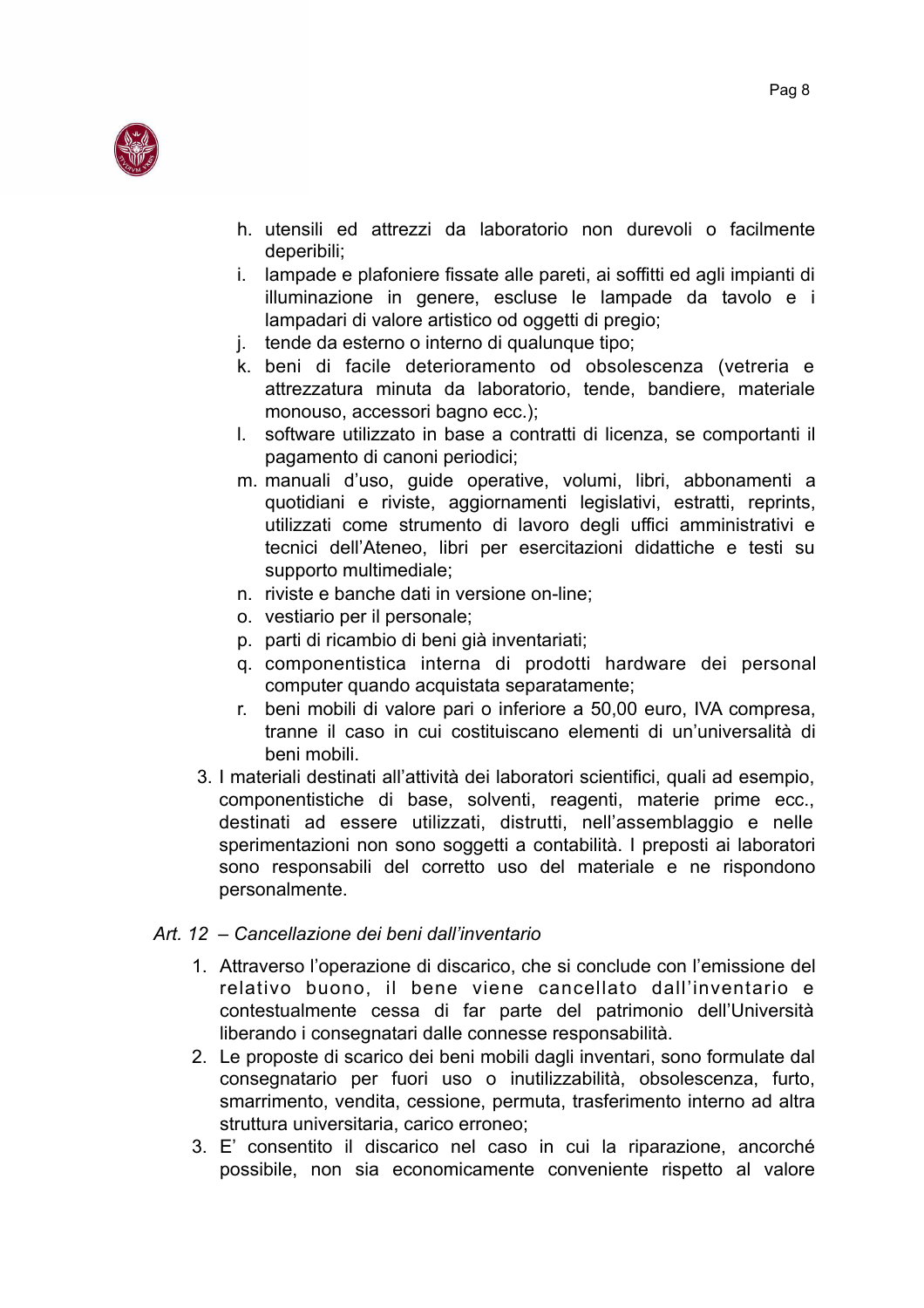

- h. utensili ed attrezzi da laboratorio non durevoli o facilmente deperibili;
- i. lampade e plafoniere fissate alle pareti, ai soffitti ed agli impianti di illuminazione in genere, escluse le lampade da tavolo e i lampadari di valore artistico od oggetti di pregio;
- j. tende da esterno o interno di qualunque tipo;
- k. beni di facile deterioramento od obsolescenza (vetreria e attrezzatura minuta da laboratorio, tende, bandiere, materiale monouso, accessori bagno ecc.);
- I. software utilizzato in base a contratti di licenza, se comportanti il pagamento di canoni periodici:
- m. manuali d'uso, guide operative, volumi, libri, abbonamenti a quotidiani e riviste, aggiornamenti legislativi, estratti, reprints, utilizzati come strumento di lavoro degli uffici amministrativi e tecnici dell'Ateneo, libri per esercitazioni didattiche e testi su supporto multimediale;
- n. riviste e banche dati in versione on-line;
- o. vestiario per il personale;
- p. parti di ricambio di beni già inventariati:
- q. componentistica interna di prodotti hardware dei personal computer quando acquistata separatamente;
- r. beni mobili di valore pari o inferiore a 50.00 euro. IVA compresa. tranne il caso in cui costituiscano elementi di un'universalità di beni mobili.
- 3. I materiali destinati all'attività dei laboratori scientifici, quali ad esempio, componentistiche di base, solventi, reagenti, materie prime ecc., destinati ad essere utilizzati, distrutti, nell'assemblaggio e nelle sperimentazioni non sono soggetti a contabilità. I preposti ai laboratori sono responsabili del corretto uso del materiale e ne rispondono personalmente.

## Art 12 - Cancellazione dei beni dall'inventario

- 1. Attraverso l'operazione di discarico, che si conclude con l'emissione del relativo buono, il bene viene cancellato dall'inventario e contestualmente cessa di far parte del patrimonio dell'Università liberando i consegnatari dalle connesse responsabilità.
- 2. Le proposte di scarico dei beni mobili dagli inventari, sono formulate dal consegnatario per fuori uso o inutilizzabilità, obsolescenza, furto, smarrimento, vendita, cessione, permuta, trasferimento interno ad altra struttura universitaria, carico erroneo:
- 3. E' consentito il discarico nel caso in cui la riparazione, ancorché possibile, non sia economicamente conveniente rispetto al valore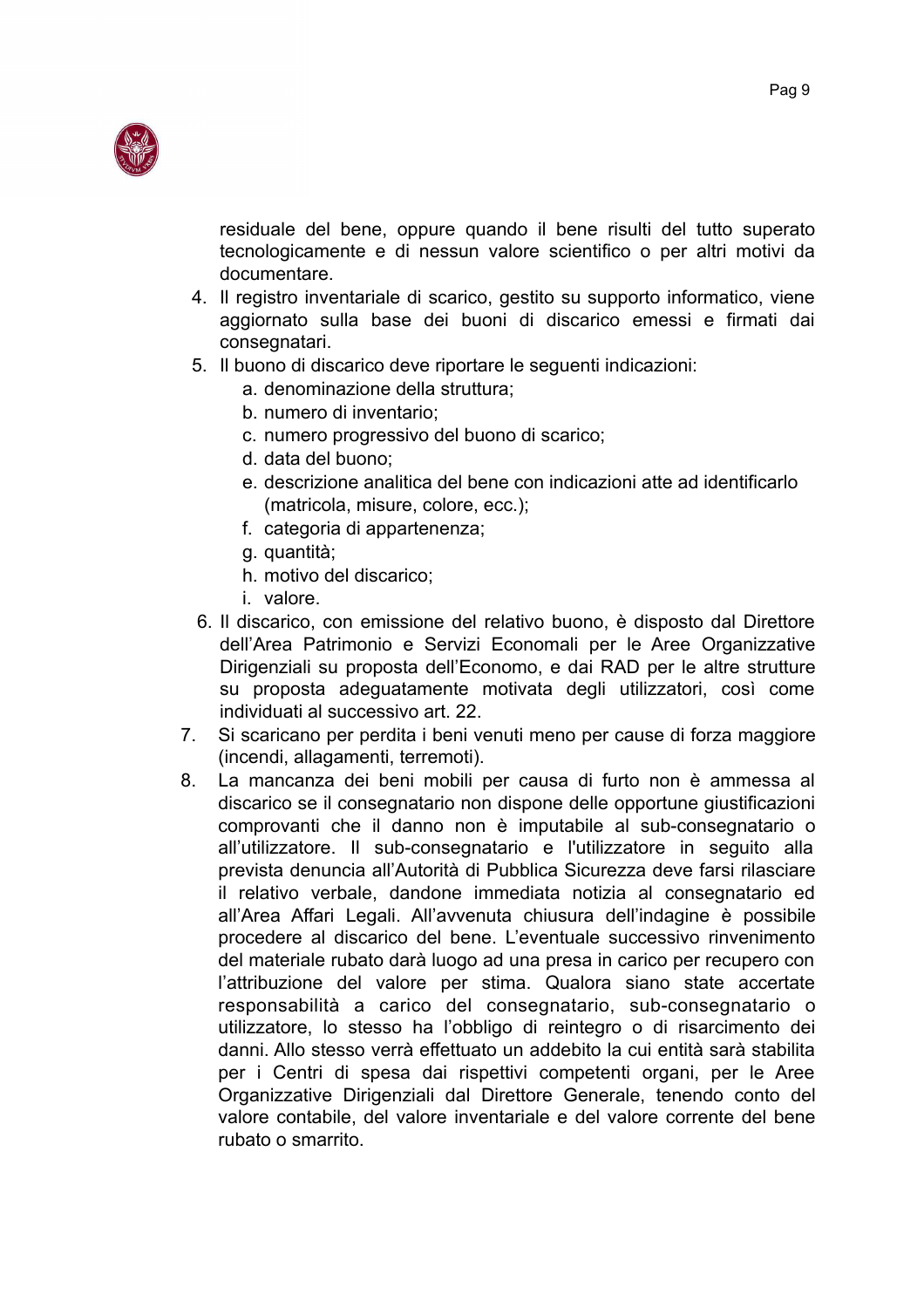

residuale del bene, oppure quando il bene risulti del tutto superato tecnologicamente e di nessun valore scientifico o per altri motivi da documentare.

- 4. Il registro inventariale di scarico, gestito su supporto informatico, viene aggiornato sulla base dei buoni di discarico emessi e firmati dai consegnatari.
- 5. Il buono di discarico deve riportare le sequenti indicazioni:
	- a. denominazione della struttura:
	- b. numero di inventario:
	- c. numero progressivo del buono di scarico:
	- d. data del buono:
	- e, descrizione analitica del bene con indicazioni atte ad identificarlo (matricola, misure, colore, ecc.);
	- f. categoria di appartenenza;
	- g. quantità;
	- h. motivo del discarico:
	- *i* valore
- 6. Il discarico, con emissione del relativo buono, è disposto dal Direttore dell'Area Patrimonio e Servizi Economali per le Aree Organizzative Dirigenziali su proposta dell'Economo, e dai RAD per le altre strutture su proposta adeguatamente motivata degli utilizzatori, così come individuati al successivo art. 22.
- Si scaricano per perdita i beni venuti meno per cause di forza maggiore  $7.$ (incendi, allagamenti, terremoti).
- 8. La mancanza dei beni mobili per causa di furto non è ammessa al discarico se il consegnatario non dispone delle opportune giustificazioni comprovanti che il danno non è imputabile al sub-consegnatario o all'utilizzatore. Il sub-consegnatario e l'utilizzatore in seguito alla prevista denuncia all'Autorità di Pubblica Sicurezza deve farsi rilasciare il relativo verbale, dandone immediata notizia al consegnatario ed all'Area Affari Legali. All'avvenuta chiusura dell'indagine è possibile procedere al discarico del bene. L'eventuale successivo rinvenimento del materiale rubato darà luogo ad una presa in carico per recupero con l'attribuzione del valore per stima. Qualora siano state accertate responsabilità a carico del consegnatario, sub-consegnatario o utilizzatore, lo stesso ha l'obbligo di reintegro o di risarcimento dei danni. Allo stesso verrà effettuato un addebito la cui entità sarà stabilita per i Centri di spesa dai rispettivi competenti organi, per le Aree Organizzative Dirigenziali dal Direttore Generale, tenendo conto del valore contabile, del valore inventariale e del valore corrente del bene rubato o smarrito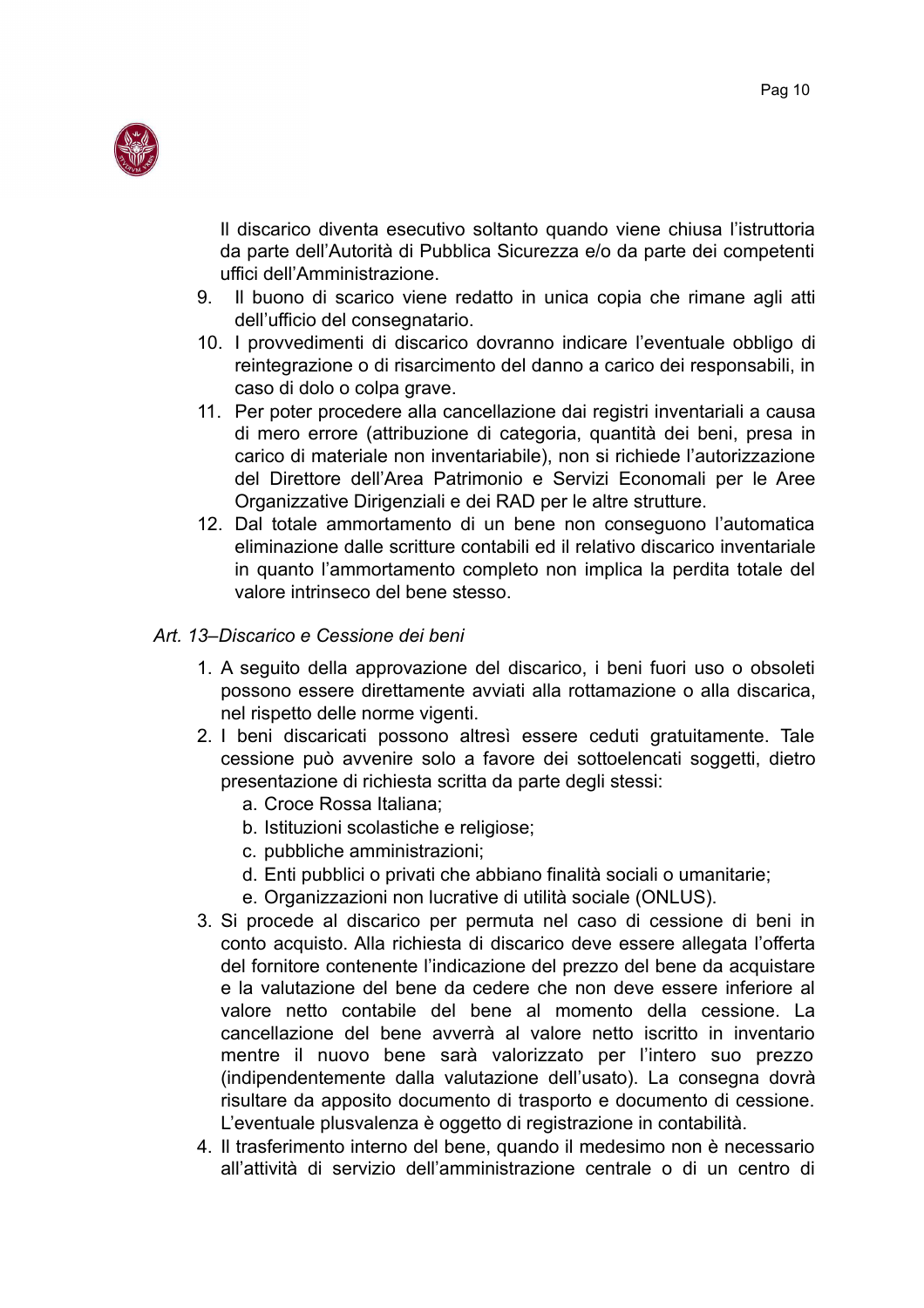

Il discarico diventa esecutivo soltanto quando viene chiusa l'istruttoria da parte dell'Autorità di Pubblica Sicurezza e/o da parte dei competenti uffici dell'Amministrazione.

- 9. Il buono di scarico viene redatto in unica copia che rimane agli atti dell'ufficio del consegnatario.
- 10. I provvedimenti di discarico dovranno indicare l'eventuale obbligo di reintegrazione o di risarcimento del danno a carico dei responsabili, in caso di dolo o colpa grave.
- 11. Per poter procedere alla cancellazione dai registri inventariali a causa di mero errore (attribuzione di categoria, quantità dei beni, presa in carico di materiale non inventariabile), non si richiede l'autorizzazione del Direttore dell'Area Patrimonio e Servizi Economali per le Aree Organizzative Dirigenziali e dei RAD per le altre strutture.
- 12. Dal totale ammortamento di un bene non conseguono l'automatica eliminazione dalle scritture contabili ed il relativo discarico inventariale in quanto l'ammortamento completo non implica la perdita totale del valore intrinseco del bene stesso.

#### Art. 13-Discarico e Cessione dei beni

- 1. A seguito della approvazione del discarico, i beni fuori uso o obsoleti possono essere direttamente avviati alla rottamazione o alla discarica, nel rispetto delle norme vigenti.
- 2. I beni discaricati possono altresì essere ceduti gratuitamente. Tale cessione può avvenire solo a favore dei sottoelencati soggetti, dietro presentazione di richiesta scritta da parte degli stessi:
	- a. Croce Rossa Italiana;
	- b. Istituzioni scolastiche e religiose;
	- c. pubbliche amministrazioni;
	- d. Enti pubblici o privati che abbiano finalità sociali o umanitarie;
	- e. Organizzazioni non lucrative di utilità sociale (ONLUS).
- 3. Si procede al discarico per permuta nel caso di cessione di beni in conto acquisto. Alla richiesta di discarico deve essere allegata l'offerta del fornitore contenente l'indicazione del prezzo del bene da acquistare e la valutazione del bene da cedere che non deve essere inferiore al valore netto contabile del bene al momento della cessione. La cancellazione del bene avverrà al valore netto iscritto in inventario mentre il nuovo bene sarà valorizzato per l'intero suo prezzo (indipendentemente dalla valutazione dell'usato). La consegna dovrà risultare da apposito documento di trasporto e documento di cessione. L'eventuale plusvalenza è oggetto di registrazione in contabilità.
- 4. Il trasferimento interno del bene, quando il medesimo non è necessario all'attività di servizio dell'amministrazione centrale o di un centro di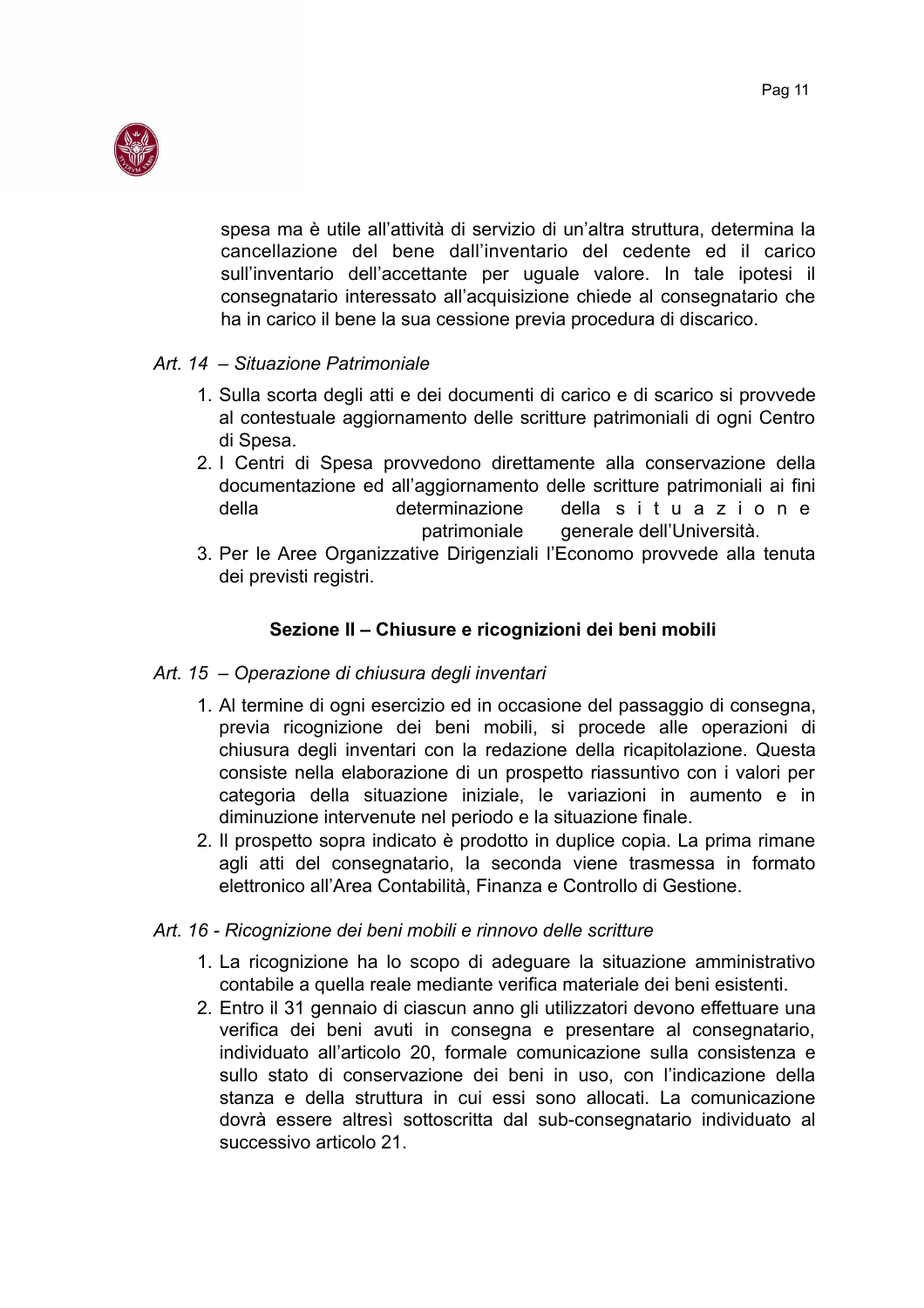

spesa ma è utile all'attività di servizio di un'altra struttura, determina la cancellazione del bene dall'inventario del cedente ed il carico sull'inventario dell'accettante per uguale valore. In tale ipotesi il consegnatario interessato all'acquisizione chiede al consegnatario che ha in carico il bene la sua cessione previa procedura di discarico.

#### Art. 14 - Situazione Patrimoniale

- 1. Sulla scorta degli atti e dei documenti di carico e di scarico si provvede al contestuale aggiornamento delle scritture patrimoniali di ogni Centro di Spesa.
- 2. I Centri di Spesa provvedono direttamente alla conservazione della documentazione ed all'aggiornamento delle scritture patrimoniali ai fini della determinazione della situazione patrimoniale generale dell'Università.
- 3. Per le Aree Organizzative Dirigenziali l'Economo provvede alla tenuta dei previsti registri.

## Sezione II - Chiusure e ricognizioni dei beni mobili

#### Art. 15 – Operazione di chiusura degli inventari

- 1. Al termine di ogni esercizio ed in occasione del passaggio di consegna, previa ricognizione dei beni mobili, si procede alle operazioni di chiusura degli inventari con la redazione della ricapitolazione. Questa consiste nella elaborazione di un prospetto riassuntivo con i valori per categoria della situazione iniziale, le variazioni in aumento e in diminuzione intervenute nel periodo e la situazione finale.
- 2. Il prospetto sopra indicato è prodotto in duplice copia. La prima rimane agli atti del consegnatario, la seconda viene trasmessa in formato elettronico all'Area Contabilità, Finanza e Controllo di Gestione.

#### Art. 16 - Ricognizione dei beni mobili e rinnovo delle scritture

- 1. La ricognizione ha lo scopo di adeguare la situazione amministrativo contabile a quella reale mediante verifica materiale dei beni esistenti.
- 2. Entro il 31 gennaio di ciascun anno gli utilizzatori devono effettuare una verifica dei beni avuti in consegna e presentare al consegnatario, individuato all'articolo 20, formale comunicazione sulla consistenza e sullo stato di conservazione dei beni in uso, con l'indicazione della stanza e della struttura in cui essi sono allocati. La comunicazione dovrà essere altresì sottoscritta dal sub-consegnatario individuato al successivo articolo 21.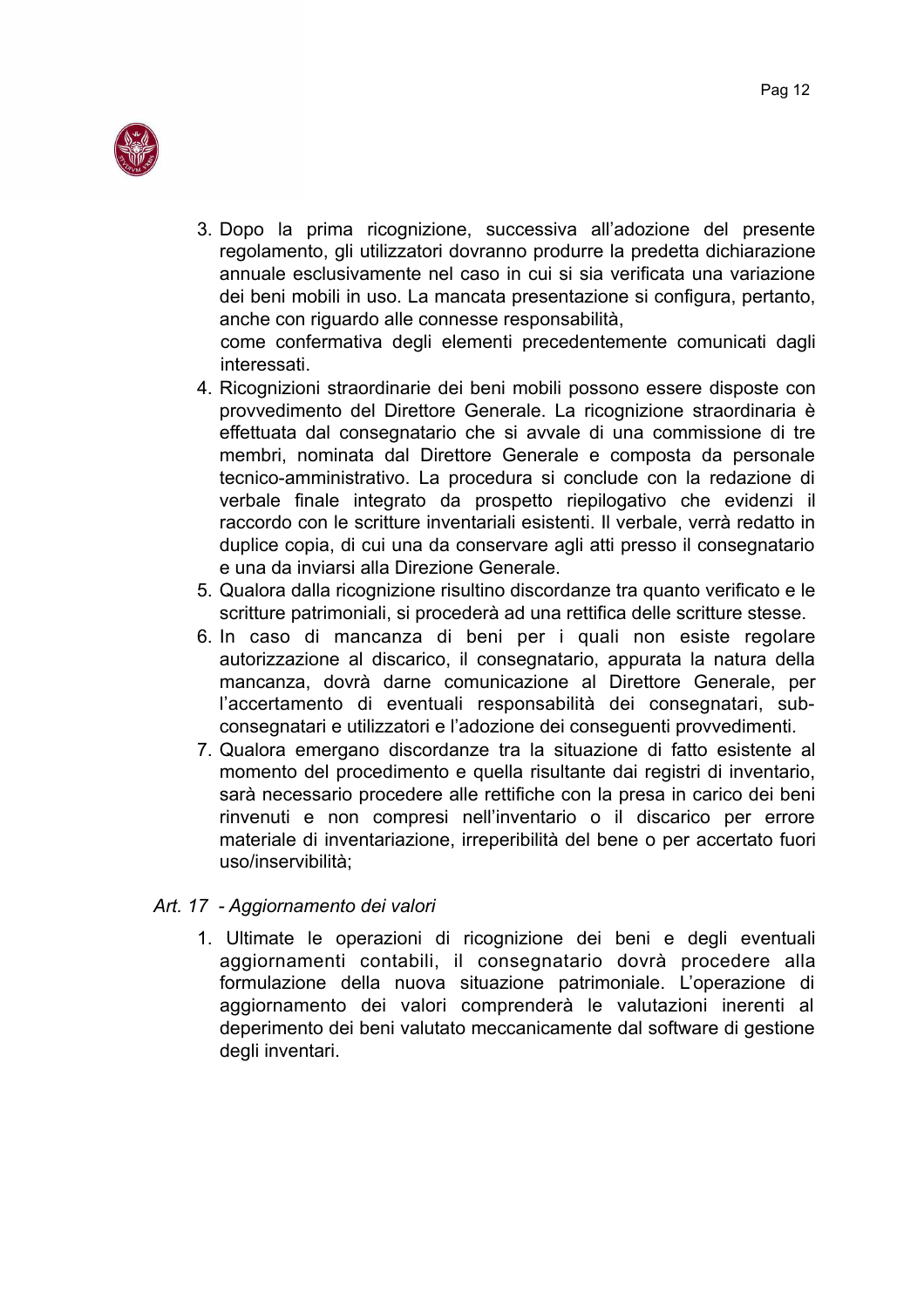

3. Dopo la prima ricognizione, successiva all'adozione del presente regolamento, gli utilizzatori dovranno produrre la predetta dichiarazione annuale esclusivamente nel caso in cui si sia verificata una variazione dei beni mobili in uso. La mancata presentazione si configura, pertanto, anche con riguardo alle connesse responsabilità,

come confermativa degli elementi precedentemente comunicati dagli interessati.

- 4. Ricognizioni straordinarie dei beni mobili possono essere disposte con provvedimento del Direttore Generale. La ricognizione straordinaria è effettuata dal consegnatario che si avvale di una commissione di tre membri, nominata dal Direttore Generale e composta da personale tecnico-amministrativo. La procedura si conclude con la redazione di verbale finale integrato da prospetto riepilogativo che evidenzi il raccordo con le scritture inventariali esistenti. Il verbale, verrà redatto in duplice copia, di cui una da conservare agli atti presso il consegnatario e una da inviarsi alla Direzione Generale.
- 5. Qualora dalla ricognizione risultino discordanze tra quanto verificato e le scritture patrimoniali, si procederà ad una rettifica delle scritture stesse.
- 6. In caso di mancanza di beni per i quali non esiste regolare autorizzazione al discarico, il consegnatario, appurata la natura della mancanza, dovrà darne comunicazione al Direttore Generale, per l'accertamento di eventuali responsabilità dei consegnatari, subconsegnatari e utilizzatori e l'adozione dei conseguenti provvedimenti.
- 7. Qualora emergano discordanze tra la situazione di fatto esistente al momento del procedimento e quella risultante dai registri di inventario, sarà necessario procedere alle rettifiche con la presa in carico dei beni rinvenuti e non compresi nell'inventario o il discarico per errore materiale di inventariazione, irreperibilità del bene o per accertato fuori uso/inservibilità:

#### Art. 17 - Aggiornamento dei valori

1. Ultimate le operazioni di ricognizione dei beni e degli eventuali aggiornamenti contabili, il consegnatario dovrà procedere alla formulazione della nuova situazione patrimoniale. L'operazione di aggiornamento dei valori comprenderà le valutazioni inerenti al deperimento dei beni valutato meccanicamente dal software di gestione degli inventari.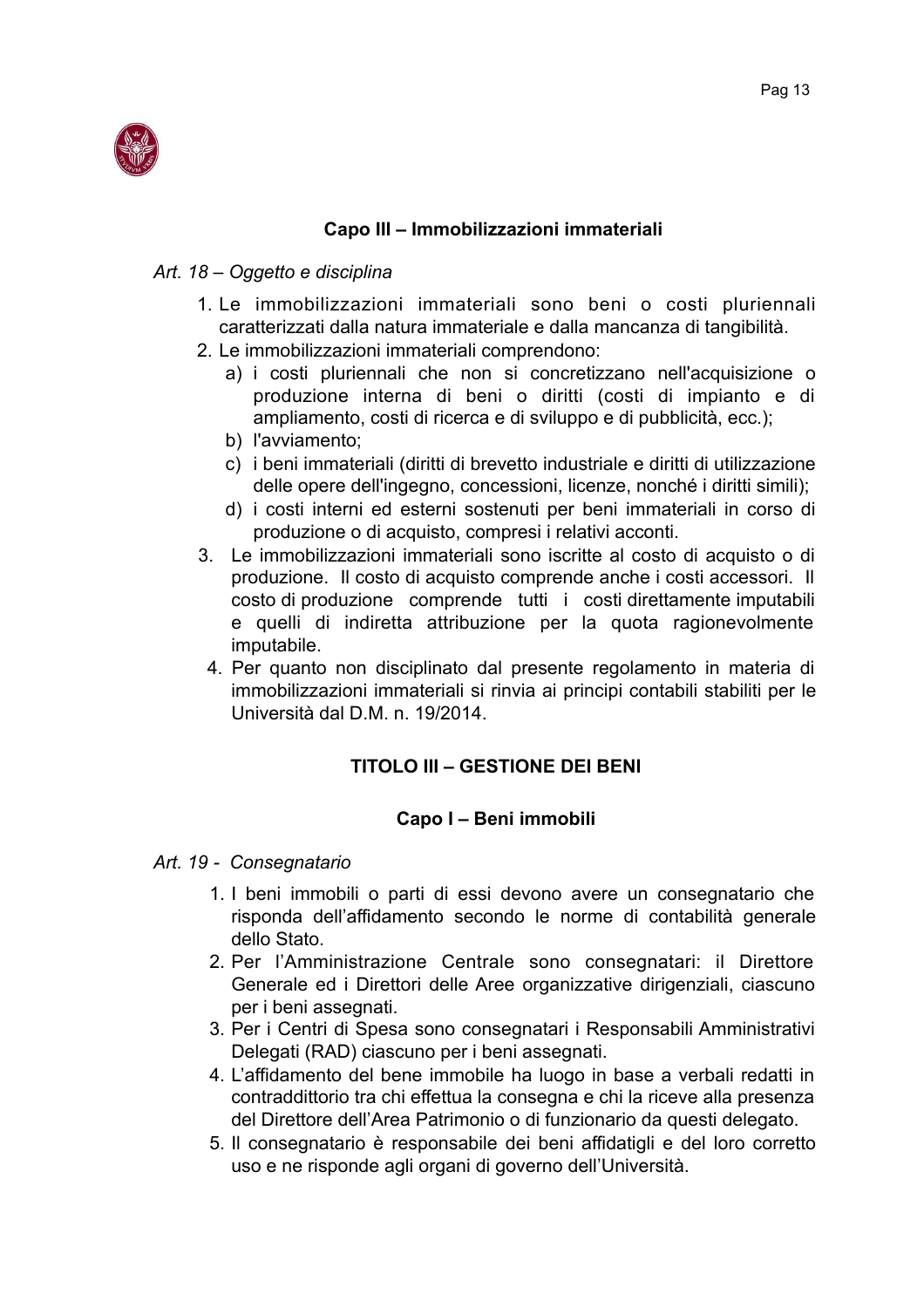

#### Capo III - Immobilizzazioni immateriali

#### Art. 18 – Oggetto e disciplina

- 1. Le immobilizzazioni immateriali sono beni o costi pluriennali caratterizzati dalla natura immateriale e dalla mancanza di tangibilità.
- 2. Le immobilizzazioni immateriali comprendono:
	- a) i costi pluriennali che non si concretizzano nell'acquisizione o produzione interna di beni o diritti (costi di impianto e di ampliamento, costi di ricerca e di sviluppo e di pubblicità, ecc.);
	- b) l'avviamento;
	- c) i beni immateriali (diritti di brevetto industriale e diritti di utilizzazione delle opere dell'ingegno, concessioni, licenze, nonché i diritti simili);
	- d) i costi interni ed esterni sostenuti per beni immateriali in corso di produzione o di acquisto, compresi i relativi acconti.
- 3. Le immobilizzazioni immateriali sono iscritte al costo di acquisto o di produzione. Il costo di acquisto comprende anche i costi accessori. Il costo di produzione comprende tutti i costi direttamente imputabili e quelli di indiretta attribuzione per la quota ragionevolmente imputabile.
- 4. Per quanto non disciplinato dal presente regolamento in materia di immobilizzazioni immateriali si rinvia ai principi contabili stabiliti per le Università dal D.M. n. 19/2014.

## **TITOLO III - GESTIONE DEI BENI**

#### Capo I - Beni immobili

#### Art. 19 - Consegnatario

- 1. I beni immobili o parti di essi devono avere un consegnatario che risponda dell'affidamento secondo le norme di contabilità generale dello Stato.
- 2. Per l'Amministrazione Centrale sono consegnatari: il Direttore Generale ed i Direttori delle Aree organizzative dirigenziali, ciascuno per i beni assegnati.
- 3. Per i Centri di Spesa sono consegnatari i Responsabili Amministrativi Delegati (RAD) ciascuno per i beni assegnati.
- 4. L'affidamento del bene immobile ha luogo in base a verbali redatti in contraddittorio tra chi effettua la consegna e chi la riceve alla presenza del Direttore dell'Area Patrimonio o di funzionario da questi delegato.
- 5. Il consegnatario è responsabile dei beni affidatigli e del loro corretto uso e ne risponde agli organi di governo dell'Università.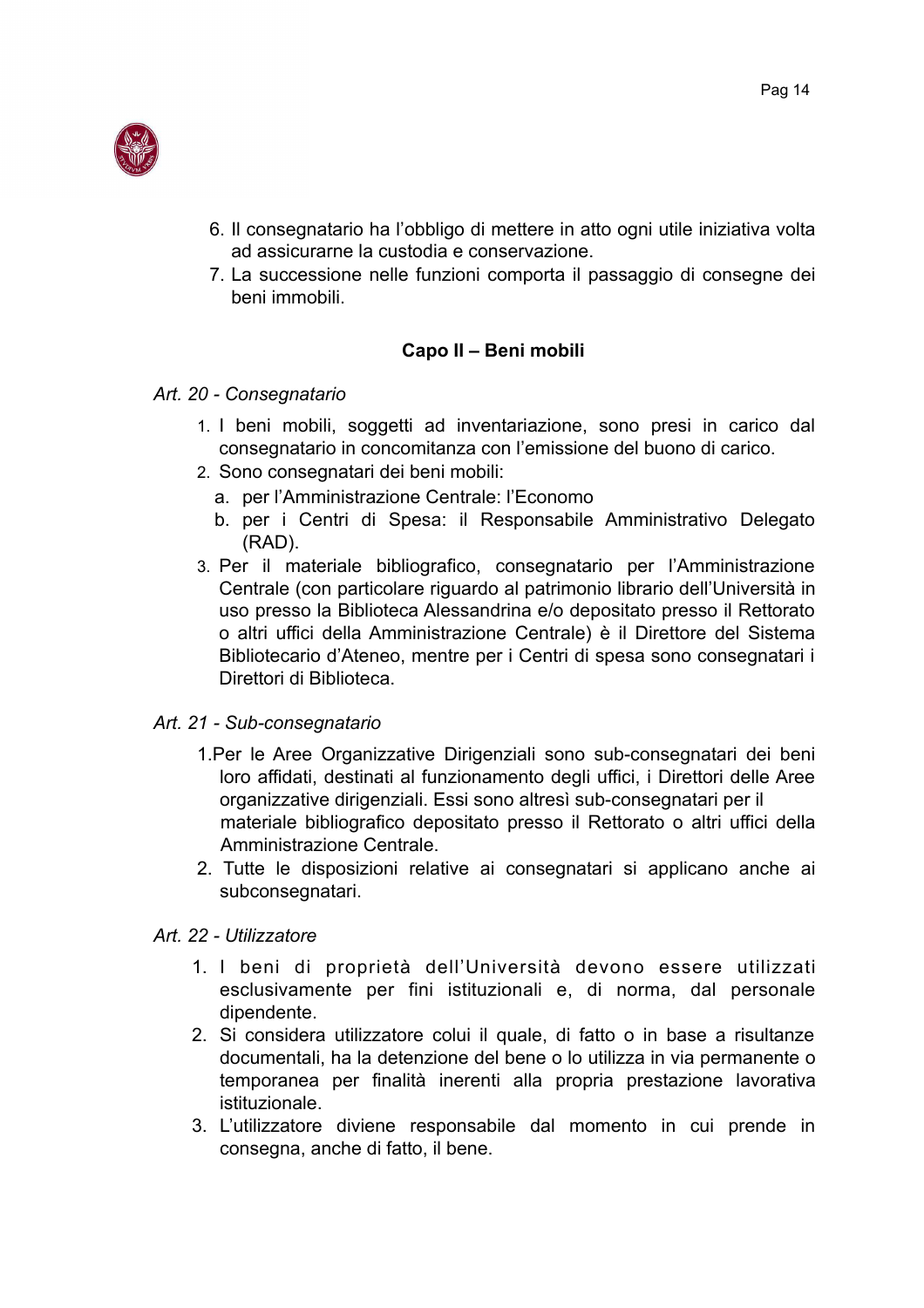

- 6. Il consegnatario ha l'obbligo di mettere in atto ogni utile iniziativa volta ad assicurarne la custodia e conservazione.
- 7. La successione nelle funzioni comporta il passaggio di consegne dei beni immobili.

## Capo II - Beni mobili

## Art. 20 - Consegnatario

- 1. I beni mobili, soggetti ad inventariazione, sono presi in carico dal consegnatario in concomitanza con l'emissione del buono di carico.
- 2. Sono consegnatari dei beni mobili:
	- a. per l'Amministrazione Centrale: l'Economo
	- b. per i Centri di Spesa: il Responsabile Amministrativo Delegato (RAD).
- 3. Per il materiale bibliografico, consegnatario per l'Amministrazione Centrale (con particolare riguardo al patrimonio librario dell'Università in uso presso la Biblioteca Alessandrina e/o depositato presso il Rettorato o altri uffici della Amministrazione Centrale) è il Direttore del Sistema Bibliotecario d'Ateneo, mentre per i Centri di spesa sono consegnatari i Direttori di Biblioteca.

## Art. 21 - Sub-consegnatario

- 1. Per le Aree Organizzative Dirigenziali sono sub-consegnatari dei beni loro affidati, destinati al funzionamento degli uffici, i Direttori delle Aree organizzative dirigenziali. Essi sono altresì sub-consegnatari per il materiale bibliografico depositato presso il Rettorato o altri uffici della Amministrazione Centrale.
- 2. Tutte le disposizioni relative ai consegnatari si applicano anche ai subconsegnatari.

## Art. 22 - Utilizzatore

- 1. I beni di proprietà dell'Università devono essere utilizzati esclusivamente per fini istituzionali e, di norma, dal personale dipendente.
- 2. Si considera utilizzatore colui il quale, di fatto o in base a risultanze documentali, ha la detenzione del bene o lo utilizza in via permanente o temporanea per finalità inerenti alla propria prestazione lavorativa istituzionale
- 3. L'utilizzatore diviene responsabile dal momento in cui prende in consegna, anche di fatto, il bene.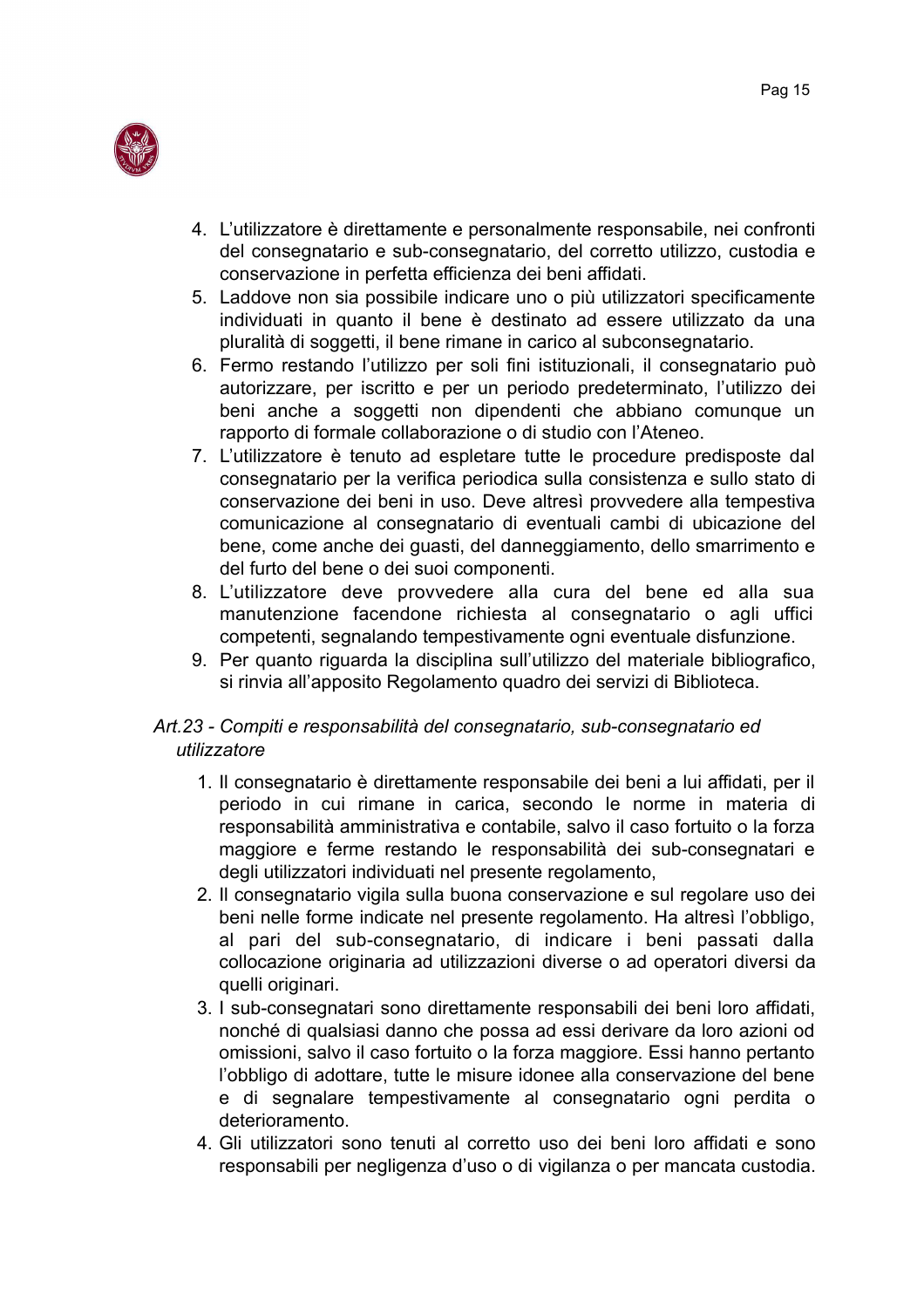

- 4. L'utilizzatore è direttamente e personalmente responsabile, nei confronti del consegnatario e sub-consegnatario, del corretto utilizzo, custodia e conservazione in perfetta efficienza dei beni affidati.
- 5. Laddove non sia possibile indicare uno o più utilizzatori specificamente individuati in quanto il bene è destinato ad essere utilizzato da una pluralità di soggetti, il bene rimane in carico al subconsegnatario.
- 6. Fermo restando l'utilizzo per soli fini istituzionali, il consegnatario può autorizzare, per iscritto e per un periodo predeterminato, l'utilizzo dei beni anche a soggetti non dipendenti che abbiano comunque un rapporto di formale collaborazione o di studio con l'Ateneo.
- 7. L'utilizzatore è tenuto ad espletare tutte le procedure predisposte dal consegnatario per la verifica periodica sulla consistenza e sullo stato di conservazione dei beni in uso. Deve altresì provvedere alla tempestiva comunicazione al consegnatario di eventuali cambi di ubicazione del bene, come anche dei quasti, del danneggiamento, dello smarrimento e del furto del bene o dei suoi componenti.
- 8. L'utilizzatore deve provvedere alla cura del bene ed alla sua manutenzione facendone richiesta al consegnatario o agli uffici competenti, segnalando tempestivamente ogni eventuale disfunzione.
- 9. Per quanto riguarda la disciplina sull'utilizzo del materiale bibliografico, si rinvia all'apposito Regolamento quadro dei servizi di Biblioteca.

## Art.23 - Compiti e responsabilità del consegnatario, sub-consegnatario ed utilizzatore

- 1. Il consegnatario è direttamente responsabile dei beni a lui affidati, per il periodo in cui rimane in carica, secondo le norme in materia di responsabilità amministrativa e contabile, salvo il caso fortuito o la forza maggiore e ferme restando le responsabilità dei sub-consegnatari e degli utilizzatori individuati nel presente regolamento,
- 2. Il consegnatario vigila sulla buona conservazione e sul regolare uso dei beni nelle forme indicate nel presente regolamento. Ha altresì l'obbligo, al pari del sub-consegnatario, di indicare i beni passati dalla collocazione originaria ad utilizzazioni diverse o ad operatori diversi da quelli originari.
- 3. I sub-consegnatari sono direttamente responsabili dei beni loro affidati, nonché di qualsiasi danno che possa ad essi derivare da loro azioni od omissioni, salvo il caso fortuito o la forza maggiore. Essi hanno pertanto l'obbligo di adottare, tutte le misure idonee alla conservazione del bene e di segnalare tempestivamente al consegnatario ogni perdita o deterioramento.
- 4. Gli utilizzatori sono tenuti al corretto uso dei beni loro affidati e sono responsabili per negligenza d'uso o di vigilanza o per mancata custodia.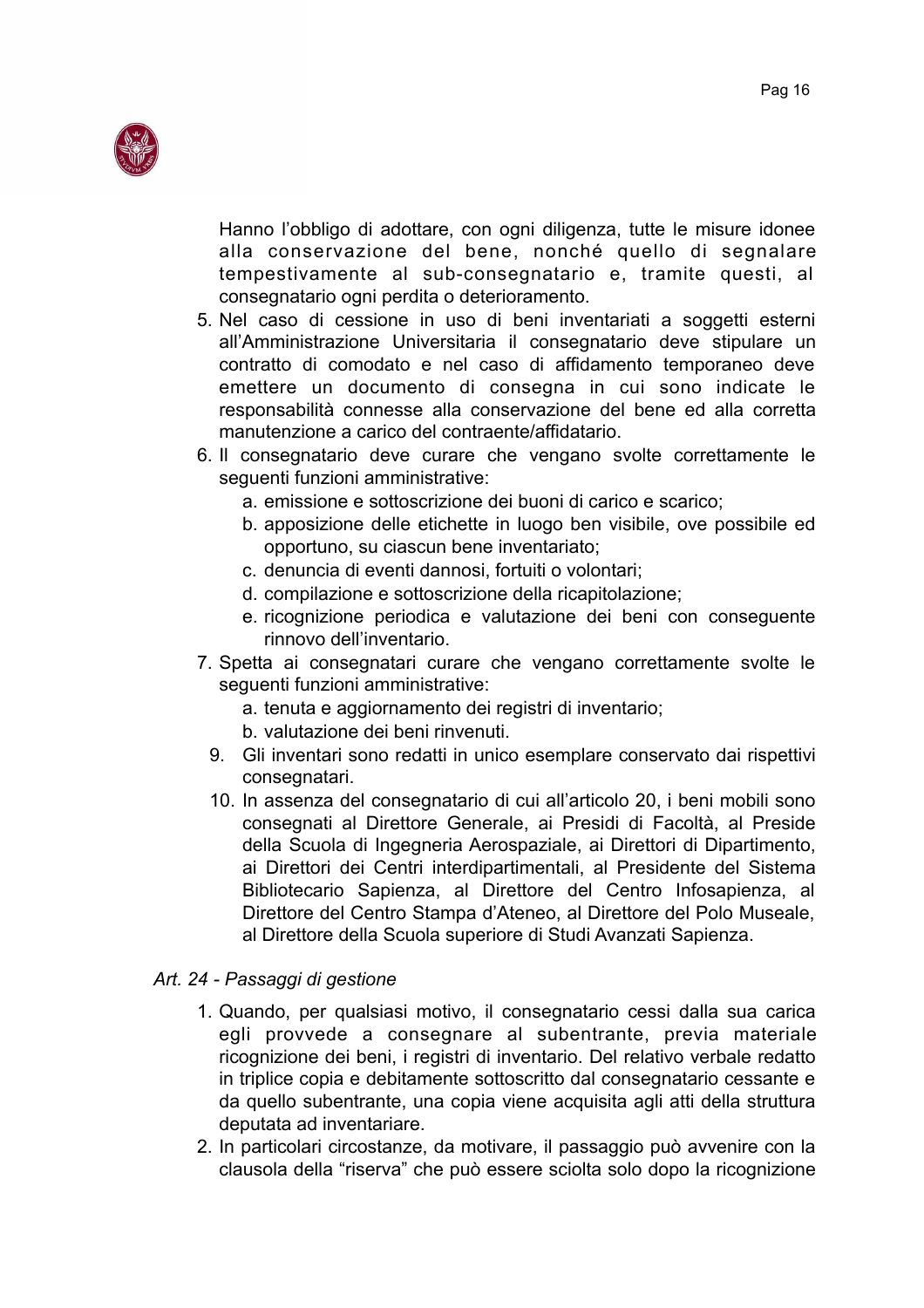

Hanno l'obbligo di adottare, con ogni diligenza, tutte le misure idonee alla conservazione del bene, nonché quello di segnalare tempestivamente al sub-consegnatario e, tramite questi, al consegnatario ogni perdita o deterioramento.

- 5. Nel caso di cessione in uso di beni inventariati a soggetti esterni all'Amministrazione Universitaria il consegnatario deve stipulare un contratto di comodato e nel caso di affidamento temporaneo deve emettere un documento di consegna in cui sono indicate le responsabilità connesse alla conservazione del bene ed alla corretta manutenzione a carico del contraente/affidatario.
- 6. Il consegnatario deve curare che vengano svolte correttamente le seguenti funzioni amministrative:
	- a. emissione e sottoscrizione dei buoni di carico e scarico;
	- b. apposizione delle etichette in luogo ben visibile, ove possibile ed opportuno, su ciascun bene inventariato;
	- c. denuncia di eventi dannosi, fortuiti o volontari:
	- d. compilazione e sottoscrizione della ricapitolazione;
	- e ricognizione periodica e valutazione dei beni con conseguente rinnovo dell'inventario.
- 7. Spetta ai consegnatari curare che vengano correttamente svolte le seguenti funzioni amministrative:
	- a. tenuta e aggiornamento dei registri di inventario;
	- b. valutazione dei beni rinvenuti.
	- 9. Gli inventari sono redatti in unico esemplare conservato dai rispettivi consegnatari.
	- 10. In assenza del consegnatario di cui all'articolo 20, i beni mobili sono consegnati al Direttore Generale, ai Presidi di Facoltà, al Preside della Scuola di Ingegneria Aerospaziale, ai Direttori di Dipartimento. ai Direttori dei Centri interdipartimentali, al Presidente del Sistema Bibliotecario Sapienza, al Direttore del Centro Infosapienza, al Direttore del Centro Stampa d'Ateneo, al Direttore del Polo Museale, al Direttore della Scuola superiore di Studi Avanzati Sapienza.

#### Art. 24 - Passaggi di gestione

- 1. Quando, per qualsiasi motivo, il consegnatario cessi dalla sua carica egli provvede a consegnare al subentrante, previa materiale ricognizione dei beni, i registri di inventario. Del relativo verbale redatto in triplice copia e debitamente sottoscritto dal consegnatario cessante e da quello subentrante, una copia viene acquisita agli atti della struttura deputata ad inventariare.
- 2. In particolari circostanze, da motivare, il passaggio può avvenire con la clausola della "riserva" che può essere sciolta solo dopo la ricognizione